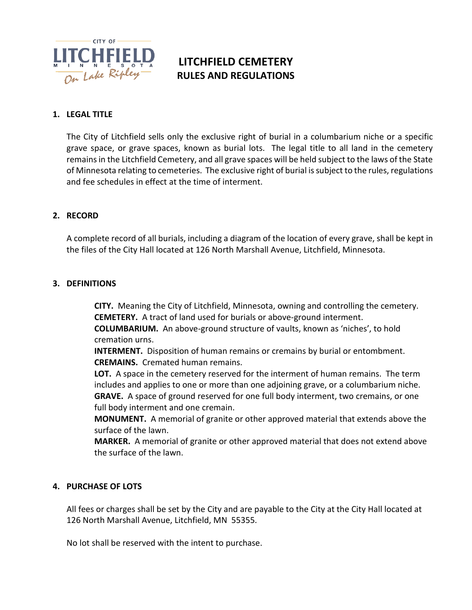

# **LITCHFIELD CEMETERY RULES AND REGULATIONS**

## **1. LEGAL TITLE**

The City of Litchfield sells only the exclusive right of burial in a columbarium niche or a specific grave space, or grave spaces, known as burial lots. The legal title to all land in the cemetery remains in the Litchfield Cemetery, and all grave spaces will be held subject to the laws of the State of Minnesota relating to cemeteries. The exclusive right of burial is subject to the rules, regulations and fee schedules in effect at the time of interment.

## **2. RECORD**

A complete record of all burials, including a diagram of the location of every grave, shall be kept in the files of the City Hall located at 126 North Marshall Avenue, Litchfield, Minnesota.

## **3. DEFINITIONS**

**CITY.** Meaning the City of Litchfield, Minnesota, owning and controlling the cemetery. **CEMETERY.** A tract of land used for burials or above-ground interment.

**COLUMBARIUM.** An above-ground structure of vaults, known as 'niches', to hold cremation urns.

**INTERMENT.** Disposition of human remains or cremains by burial or entombment. **CREMAINS.** Cremated human remains.

**LOT.** A space in the cemetery reserved for the interment of human remains. The term includes and applies to one or more than one adjoining grave, or a columbarium niche. **GRAVE.** A space of ground reserved for one full body interment, two cremains, or one full body interment and one cremain.

**MONUMENT.** A memorial of granite or other approved material that extends above the surface of the lawn.

**MARKER.** A memorial of granite or other approved material that does not extend above the surface of the lawn.

#### **4. PURCHASE OF LOTS**

All fees or charges shall be set by the City and are payable to the City at the City Hall located at 126 North Marshall Avenue, Litchfield, MN 55355.

No lot shall be reserved with the intent to purchase.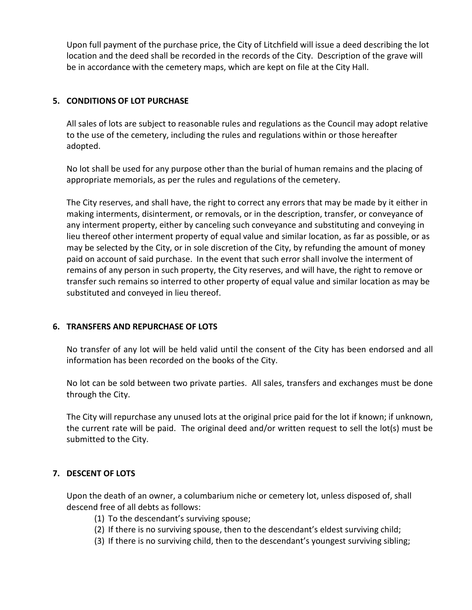Upon full payment of the purchase price, the City of Litchfield will issue a deed describing the lot location and the deed shall be recorded in the records of the City. Description of the grave will be in accordance with the cemetery maps, which are kept on file at the City Hall.

## **5. CONDITIONS OF LOT PURCHASE**

All sales of lots are subject to reasonable rules and regulations as the Council may adopt relative to the use of the cemetery, including the rules and regulations within or those hereafter adopted.

No lot shall be used for any purpose other than the burial of human remains and the placing of appropriate memorials, as per the rules and regulations of the cemetery.

The City reserves, and shall have, the right to correct any errors that may be made by it either in making interments, disinterment, or removals, or in the description, transfer, or conveyance of any interment property, either by canceling such conveyance and substituting and conveying in lieu thereof other interment property of equal value and similar location, as far as possible, or as may be selected by the City, or in sole discretion of the City, by refunding the amount of money paid on account of said purchase. In the event that such error shall involve the interment of remains of any person in such property, the City reserves, and will have, the right to remove or transfer such remains so interred to other property of equal value and similar location as may be substituted and conveyed in lieu thereof.

## **6. TRANSFERS AND REPURCHASE OF LOTS**

No transfer of any lot will be held valid until the consent of the City has been endorsed and all information has been recorded on the books of the City.

No lot can be sold between two private parties. All sales, transfers and exchanges must be done through the City.

The City will repurchase any unused lots at the original price paid for the lot if known; if unknown, the current rate will be paid. The original deed and/or written request to sell the lot(s) must be submitted to the City.

## **7. DESCENT OF LOTS**

Upon the death of an owner, a columbarium niche or cemetery lot, unless disposed of, shall descend free of all debts as follows:

- (1) To the descendant's surviving spouse;
- (2) If there is no surviving spouse, then to the descendant's eldest surviving child;
- (3) If there is no surviving child, then to the descendant's youngest surviving sibling;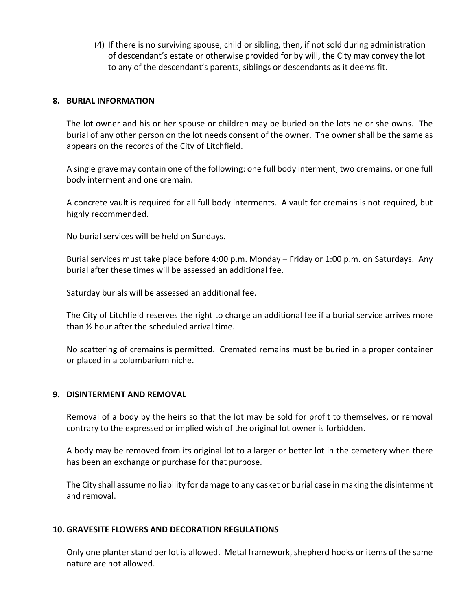(4) If there is no surviving spouse, child or sibling, then, if not sold during administration of descendant's estate or otherwise provided for by will, the City may convey the lot to any of the descendant's parents, siblings or descendants as it deems fit.

#### **8. BURIAL INFORMATION**

The lot owner and his or her spouse or children may be buried on the lots he or she owns. The burial of any other person on the lot needs consent of the owner. The owner shall be the same as appears on the records of the City of Litchfield.

A single grave may contain one of the following: one full body interment, two cremains, or one full body interment and one cremain.

A concrete vault is required for all full body interments.A vault for cremains is not required, but highly recommended.

No burial services will be held on Sundays.

Burial services must take place before 4:00 p.m. Monday – Friday or 1:00 p.m. on Saturdays. Any burial after these times will be assessed an additional fee.

Saturday burials will be assessed an additional fee.

The City of Litchfield reserves the right to charge an additional fee if a burial service arrives more than ½ hour after the scheduled arrival time.

No scattering of cremains is permitted. Cremated remains must be buried in a proper container or placed in a columbarium niche.

#### **9. DISINTERMENT AND REMOVAL**

Removal of a body by the heirs so that the lot may be sold for profit to themselves, or removal contrary to the expressed or implied wish of the original lot owner is forbidden.

A body may be removed from its original lot to a larger or better lot in the cemetery when there has been an exchange or purchase for that purpose.

The City shall assume no liability for damage to any casket or burial case in making the disinterment and removal.

#### **10. GRAVESITE FLOWERS AND DECORATION REGULATIONS**

Only one planter stand per lot is allowed. Metal framework, shepherd hooks or items of the same nature are not allowed.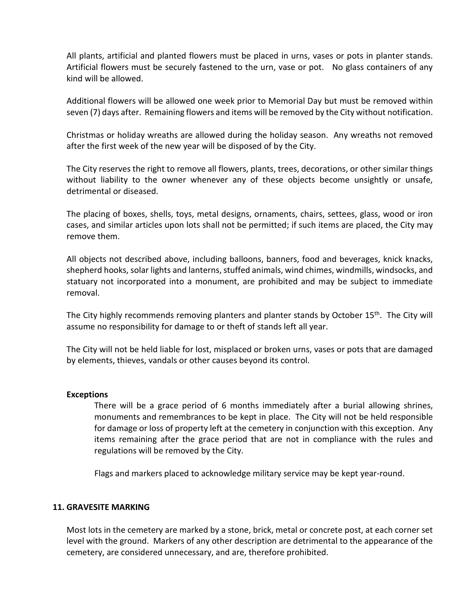All plants, artificial and planted flowers must be placed in urns, vases or pots in planter stands. Artificial flowers must be securely fastened to the urn, vase or pot. No glass containers of any kind will be allowed.

Additional flowers will be allowed one week prior to Memorial Day but must be removed within seven (7) days after. Remaining flowers and items will be removed by the City without notification.

Christmas or holiday wreaths are allowed during the holiday season. Any wreaths not removed after the first week of the new year will be disposed of by the City.

The City reserves the right to remove all flowers, plants, trees, decorations, or other similar things without liability to the owner whenever any of these objects become unsightly or unsafe, detrimental or diseased.

The placing of boxes, shells, toys, metal designs, ornaments, chairs, settees, glass, wood or iron cases, and similar articles upon lots shall not be permitted; if such items are placed, the City may remove them.

All objects not described above, including balloons, banners, food and beverages, knick knacks, shepherd hooks, solar lights and lanterns, stuffed animals, wind chimes, windmills, windsocks, and statuary not incorporated into a monument, are prohibited and may be subject to immediate removal.

The City highly recommends removing planters and planter stands by October 15<sup>th</sup>. The City will assume no responsibility for damage to or theft of stands left all year.

The City will not be held liable for lost, misplaced or broken urns, vases or pots that are damaged by elements, thieves, vandals or other causes beyond its control.

#### **Exceptions**

There will be a grace period of 6 months immediately after a burial allowing shrines, monuments and remembrances to be kept in place. The City will not be held responsible for damage or loss of property left at the cemetery in conjunction with this exception. Any items remaining after the grace period that are not in compliance with the rules and regulations will be removed by the City.

Flags and markers placed to acknowledge military service may be kept year-round.

#### **11. GRAVESITE MARKING**

Most lots in the cemetery are marked by a stone, brick, metal or concrete post, at each corner set level with the ground. Markers of any other description are detrimental to the appearance of the cemetery, are considered unnecessary, and are, therefore prohibited.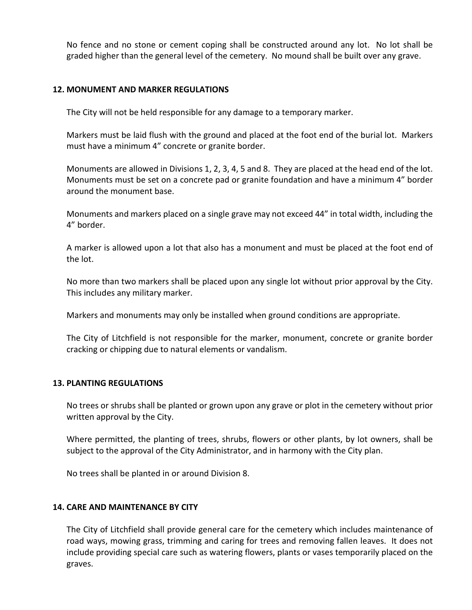No fence and no stone or cement coping shall be constructed around any lot. No lot shall be graded higher than the general level of the cemetery. No mound shall be built over any grave.

#### **12. MONUMENT AND MARKER REGULATIONS**

The City will not be held responsible for any damage to a temporary marker.

Markers must be laid flush with the ground and placed at the foot end of the burial lot. Markers must have a minimum 4" concrete or granite border.

Monuments are allowed in Divisions 1, 2, 3, 4, 5 and 8. They are placed at the head end of the lot. Monuments must be set on a concrete pad or granite foundation and have a minimum 4" border around the monument base.

Monuments and markers placed on a single grave may not exceed 44" in total width, including the 4" border.

A marker is allowed upon a lot that also has a monument and must be placed at the foot end of the lot.

No more than two markers shall be placed upon any single lot without prior approval by the City. This includes any military marker.

Markers and monuments may only be installed when ground conditions are appropriate.

The City of Litchfield is not responsible for the marker, monument, concrete or granite border cracking or chipping due to natural elements or vandalism.

#### **13. PLANTING REGULATIONS**

No trees or shrubs shall be planted or grown upon any grave or plot in the cemetery without prior written approval by the City.

Where permitted, the planting of trees, shrubs, flowers or other plants, by lot owners, shall be subject to the approval of the City Administrator, and in harmony with the City plan.

No trees shall be planted in or around Division 8.

#### **14. CARE AND MAINTENANCE BY CITY**

The City of Litchfield shall provide general care for the cemetery which includes maintenance of road ways, mowing grass, trimming and caring for trees and removing fallen leaves. It does not include providing special care such as watering flowers, plants or vases temporarily placed on the graves.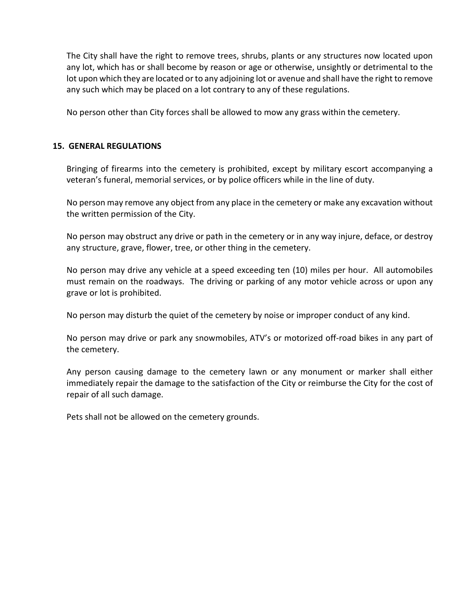The City shall have the right to remove trees, shrubs, plants or any structures now located upon any lot, which has or shall become by reason or age or otherwise, unsightly or detrimental to the lot upon which they are located or to any adjoining lot or avenue and shall have the right to remove any such which may be placed on a lot contrary to any of these regulations.

No person other than City forces shall be allowed to mow any grass within the cemetery.

## **15. GENERAL REGULATIONS**

Bringing of firearms into the cemetery is prohibited, except by military escort accompanying a veteran's funeral, memorial services, or by police officers while in the line of duty.

No person may remove any object from any place in the cemetery or make any excavation without the written permission of the City.

No person may obstruct any drive or path in the cemetery or in any way injure, deface, or destroy any structure, grave, flower, tree, or other thing in the cemetery.

No person may drive any vehicle at a speed exceeding ten (10) miles per hour. All automobiles must remain on the roadways. The driving or parking of any motor vehicle across or upon any grave or lot is prohibited.

No person may disturb the quiet of the cemetery by noise or improper conduct of any kind.

No person may drive or park any snowmobiles, ATV's or motorized off-road bikes in any part of the cemetery.

Any person causing damage to the cemetery lawn or any monument or marker shall either immediately repair the damage to the satisfaction of the City or reimburse the City for the cost of repair of all such damage.

Pets shall not be allowed on the cemetery grounds.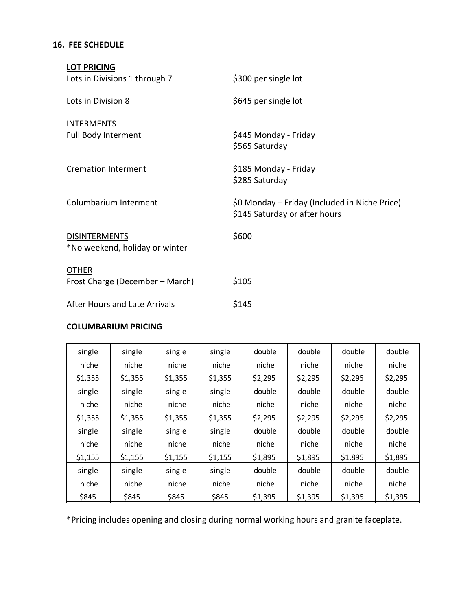# **16. FEE SCHEDULE**

| <b>LOT PRICING</b>                                     |                                                                                |
|--------------------------------------------------------|--------------------------------------------------------------------------------|
| Lots in Divisions 1 through 7                          | \$300 per single lot                                                           |
| Lots in Division 8                                     | \$645 per single lot                                                           |
| <b>INTERMENTS</b><br>Full Body Interment               | \$445 Monday - Friday<br>\$565 Saturday                                        |
| <b>Cremation Interment</b>                             | \$185 Monday - Friday<br>\$285 Saturday                                        |
| Columbarium Interment                                  | \$0 Monday – Friday (Included in Niche Price)<br>\$145 Saturday or after hours |
| <b>DISINTERMENTS</b><br>*No weekend, holiday or winter | \$600                                                                          |
| <b>OTHER</b><br>Frost Charge (December - March)        | \$105                                                                          |
| After Hours and Late Arrivals                          | \$145                                                                          |

## **COLUMBARIUM PRICING**

| single  | single  | single  | single  | double  | double  | double  | double  |
|---------|---------|---------|---------|---------|---------|---------|---------|
| niche   | niche   | niche   | niche   | niche   | niche   | niche   | niche   |
| \$1,355 | \$1,355 | \$1,355 | \$1,355 | \$2,295 | \$2,295 | \$2,295 | \$2,295 |
| single  | single  | single  | single  | double  | double  | double  | double  |
| niche   | niche   | niche   | niche   | niche   | niche   | niche   | niche   |
| \$1,355 | \$1,355 | \$1,355 | \$1,355 | \$2,295 | \$2,295 | \$2,295 | \$2,295 |
| single  | single  | single  | single  | double  | double  | double  | double  |
| niche   | niche   | niche   | niche   | niche   | niche   | niche   | niche   |
| \$1,155 | \$1,155 | \$1,155 | \$1,155 | \$1,895 | \$1,895 | \$1,895 | \$1,895 |
| single  | single  | single  | single  | double  | double  | double  | double  |
| niche   | niche   | niche   | niche   | niche   | niche   | niche   | niche   |
| \$845   | \$845   | \$845   | \$845   | \$1,395 | \$1,395 | \$1,395 | \$1,395 |

\*Pricing includes opening and closing during normal working hours and granite faceplate.